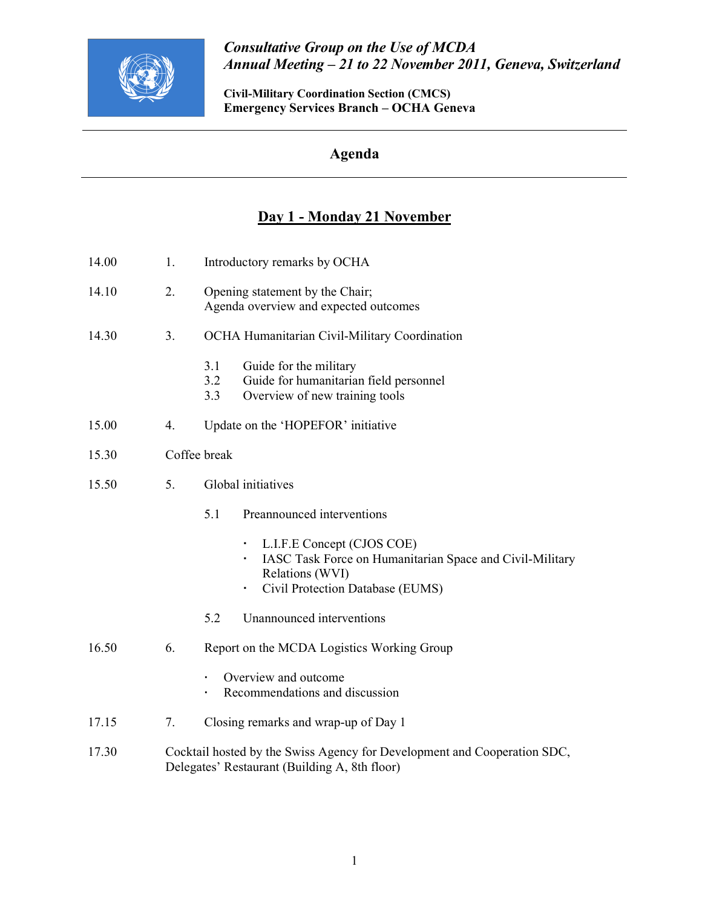

## Consultative Group on the Use of MCDA Annual Meeting – 21 to 22 November 2011, Geneva, Switzerland

Civil-Military Coordination Section (CMCS) Emergency Services Branch – OCHA Geneva

## Agenda

## Day 1 - Monday 21 November

| 14.00 | 1. | Introductory remarks by OCHA                                                                                                                       |  |  |  |
|-------|----|----------------------------------------------------------------------------------------------------------------------------------------------------|--|--|--|
| 14.10 | 2. | Opening statement by the Chair;<br>Agenda overview and expected outcomes                                                                           |  |  |  |
| 14.30 | 3. | OCHA Humanitarian Civil-Military Coordination                                                                                                      |  |  |  |
|       |    | Guide for the military<br>3.1<br>3.2<br>Guide for humanitarian field personnel<br>Overview of new training tools<br>3.3                            |  |  |  |
| 15.00 | 4. | Update on the 'HOPEFOR' initiative                                                                                                                 |  |  |  |
| 15.30 |    | Coffee break                                                                                                                                       |  |  |  |
| 15.50 | 5. | Global initiatives                                                                                                                                 |  |  |  |
|       |    | 5.1<br>Preannounced interventions                                                                                                                  |  |  |  |
|       |    | L.I.F.E Concept (CJOS COE)<br>IASC Task Force on Humanitarian Space and Civil-Military<br>Relations (WVI)<br>Civil Protection Database (EUMS)<br>٠ |  |  |  |
|       |    | 5.2<br>Unannounced interventions                                                                                                                   |  |  |  |
| 16.50 | 6. | Report on the MCDA Logistics Working Group                                                                                                         |  |  |  |
|       |    | Overview and outcome<br>Recommendations and discussion                                                                                             |  |  |  |
| 17.15 | 7. | Closing remarks and wrap-up of Day 1                                                                                                               |  |  |  |
| 17.30 |    | Cocktail hosted by the Swiss Agency for Development and Cooperation SDC,<br>Delegates' Restaurant (Building A, 8th floor)                          |  |  |  |